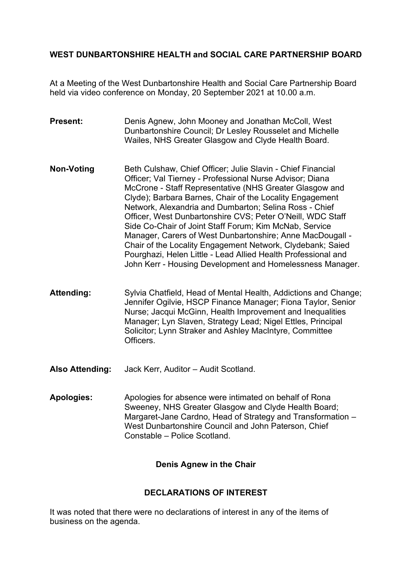# **WEST DUNBARTONSHIRE HEALTH and SOCIAL CARE PARTNERSHIP BOARD**

At a Meeting of the West Dunbartonshire Health and Social Care Partnership Board held via video conference on Monday, 20 September 2021 at 10.00 a.m.

- **Present: Denis Agnew, John Mooney and Jonathan McColl, West** Dunbartonshire Council; Dr Lesley Rousselet and Michelle Wailes, NHS Greater Glasgow and Clyde Health Board.
- **Non-Voting Beth Culshaw, Chief Officer; Julie Slavin Chief Financial** Officer; Val Tierney - Professional Nurse Advisor; Diana McCrone - Staff Representative (NHS Greater Glasgow and Clyde); Barbara Barnes, Chair of the Locality Engagement Network, Alexandria and Dumbarton; Selina Ross - Chief Officer, West Dunbartonshire CVS; Peter O'Neill, WDC Staff Side Co-Chair of Joint Staff Forum; Kim McNab, Service Manager, Carers of West Dunbartonshire; Anne MacDougall - Chair of the Locality Engagement Network, Clydebank; Saied Pourghazi, Helen Little - Lead Allied Health Professional and John Kerr - Housing Development and Homelessness Manager.
- Attending: Sylvia Chatfield, Head of Mental Health, Addictions and Change; Jennifer Ogilvie, HSCP Finance Manager; Fiona Taylor, Senior Nurse; Jacqui McGinn, Health Improvement and Inequalities Manager; Lyn Slaven, Strategy Lead; Nigel Ettles, Principal Solicitor; Lynn Straker and Ashley MacIntyre, Committee Officers.
- **Also Attending:** Jack Kerr, Auditor Audit Scotland.
- **Apologies:** Apologies for absence were intimated on behalf of Rona Sweeney, NHS Greater Glasgow and Clyde Health Board; Margaret-Jane Cardno, Head of Strategy and Transformation – West Dunbartonshire Council and John Paterson, Chief Constable – Police Scotland.

### **Denis Agnew in the Chair**

### **DECLARATIONS OF INTEREST**

It was noted that there were no declarations of interest in any of the items of business on the agenda.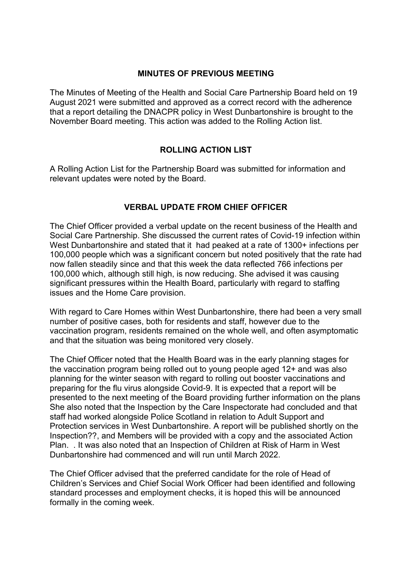#### **MINUTES OF PREVIOUS MEETING**

The Minutes of Meeting of the Health and Social Care Partnership Board held on 19 August 2021 were submitted and approved as a correct record with the adherence that a report detailing the DNACPR policy in West Dunbartonshire is brought to the November Board meeting. This action was added to the Rolling Action list.

# **ROLLING ACTION LIST**

A Rolling Action List for the Partnership Board was submitted for information and relevant updates were noted by the Board.

# **VERBAL UPDATE FROM CHIEF OFFICER**

The Chief Officer provided a verbal update on the recent business of the Health and Social Care Partnership. She discussed the current rates of Covid-19 infection within West Dunbartonshire and stated that it had peaked at a rate of 1300+ infections per 100,000 people which was a significant concern but noted positively that the rate had now fallen steadily since and that this week the data reflected 766 infections per 100,000 which, although still high, is now reducing. She advised it was causing significant pressures within the Health Board, particularly with regard to staffing issues and the Home Care provision.

With regard to Care Homes within West Dunbartonshire, there had been a very small number of positive cases, both for residents and staff, however due to the vaccination program, residents remained on the whole well, and often asymptomatic and that the situation was being monitored very closely.

The Chief Officer noted that the Health Board was in the early planning stages for the vaccination program being rolled out to young people aged 12+ and was also planning for the winter season with regard to rolling out booster vaccinations and preparing for the flu virus alongside Covid-9. It is expected that a report will be presented to the next meeting of the Board providing further information on the plans She also noted that the Inspection by the Care Inspectorate had concluded and that staff had worked alongside Police Scotland in relation to Adult Support and Protection services in West Dunbartonshire. A report will be published shortly on the Inspection??, and Members will be provided with a copy and the associated Action Plan. . It was also noted that an Inspection of Children at Risk of Harm in West Dunbartonshire had commenced and will run until March 2022.

The Chief Officer advised that the preferred candidate for the role of Head of Children's Services and Chief Social Work Officer had been identified and following standard processes and employment checks, it is hoped this will be announced formally in the coming week.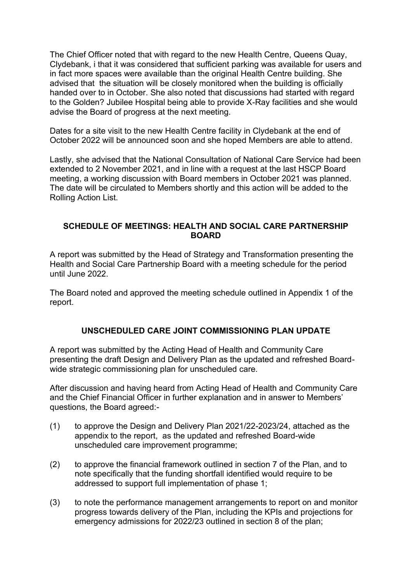The Chief Officer noted that with regard to the new Health Centre, Queens Quay, Clydebank, i that it was considered that sufficient parking was available for users and in fact more spaces were available than the original Health Centre building. She advised that the situation will be closely monitored when the building is officially handed over to in October. She also noted that discussions had started with regard to the Golden? Jubilee Hospital being able to provide X-Ray facilities and she would advise the Board of progress at the next meeting.

Dates for a site visit to the new Health Centre facility in Clydebank at the end of October 2022 will be announced soon and she hoped Members are able to attend.

Lastly, she advised that the National Consultation of National Care Service had been extended to 2 November 2021, and in line with a request at the last HSCP Board meeting, a working discussion with Board members in October 2021 was planned. The date will be circulated to Members shortly and this action will be added to the Rolling Action List.

### **SCHEDULE OF MEETINGS: HEALTH AND SOCIAL CARE PARTNERSHIP BOARD**

A report was submitted by the Head of Strategy and Transformation presenting the Health and Social Care Partnership Board with a meeting schedule for the period until June 2022.

The Board noted and approved the meeting schedule outlined in Appendix 1 of the report.

### **UNSCHEDULED CARE JOINT COMMISSIONING PLAN UPDATE**

A report was submitted by the Acting Head of Health and Community Care presenting the draft Design and Delivery Plan as the updated and refreshed Boardwide strategic commissioning plan for unscheduled care.

After discussion and having heard from Acting Head of Health and Community Care and the Chief Financial Officer in further explanation and in answer to Members' questions, the Board agreed:-

- (1) to approve the Design and Delivery Plan 2021/22-2023/24, attached as the appendix to the report, as the updated and refreshed Board-wide unscheduled care improvement programme;
- (2) to approve the financial framework outlined in section 7 of the Plan, and to note specifically that the funding shortfall identified would require to be addressed to support full implementation of phase 1;
- (3) to note the performance management arrangements to report on and monitor progress towards delivery of the Plan, including the KPIs and projections for emergency admissions for 2022/23 outlined in section 8 of the plan;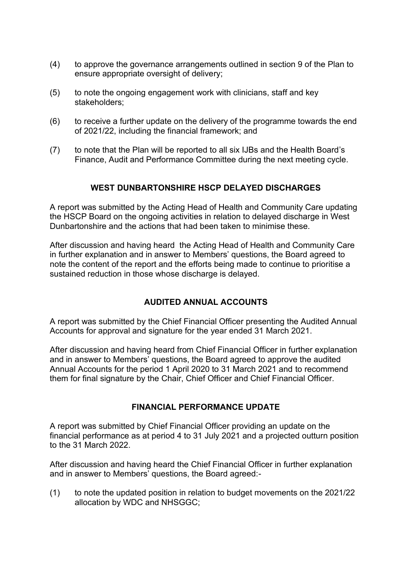- (4) to approve the governance arrangements outlined in section 9 of the Plan to ensure appropriate oversight of delivery;
- (5) to note the ongoing engagement work with clinicians, staff and key stakeholders;
- (6) to receive a further update on the delivery of the programme towards the end of 2021/22, including the financial framework; and
- (7) to note that the Plan will be reported to all six IJBs and the Health Board's Finance, Audit and Performance Committee during the next meeting cycle.

### **WEST DUNBARTONSHIRE HSCP DELAYED DISCHARGES**

A report was submitted by the Acting Head of Health and Community Care updating the HSCP Board on the ongoing activities in relation to delayed discharge in West Dunbartonshire and the actions that had been taken to minimise these.

After discussion and having heard the Acting Head of Health and Community Care in further explanation and in answer to Members' questions, the Board agreed to note the content of the report and the efforts being made to continue to prioritise a sustained reduction in those whose discharge is delayed.

### **AUDITED ANNUAL ACCOUNTS**

A report was submitted by the Chief Financial Officer presenting the Audited Annual Accounts for approval and signature for the year ended 31 March 2021.

After discussion and having heard from Chief Financial Officer in further explanation and in answer to Members' questions, the Board agreed to approve the audited Annual Accounts for the period 1 April 2020 to 31 March 2021 and to recommend them for final signature by the Chair, Chief Officer and Chief Financial Officer.

### **FINANCIAL PERFORMANCE UPDATE**

A report was submitted by Chief Financial Officer providing an update on the financial performance as at period 4 to 31 July 2021 and a projected outturn position to the 31 March 2022.

After discussion and having heard the Chief Financial Officer in further explanation and in answer to Members' questions, the Board agreed:-

(1) to note the updated position in relation to budget movements on the 2021/22 allocation by WDC and NHSGGC;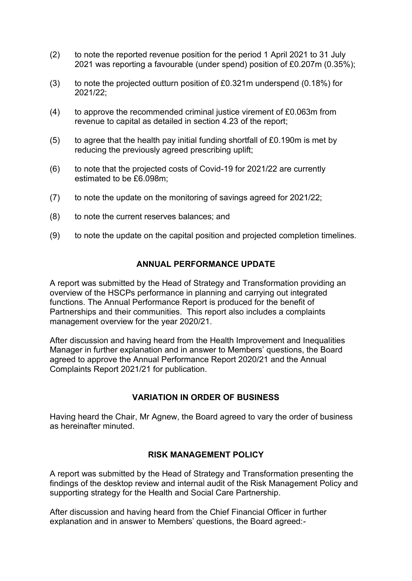- (2) to note the reported revenue position for the period 1 April 2021 to 31 July 2021 was reporting a favourable (under spend) position of £0.207m (0.35%);
- (3) to note the projected outturn position of £0.321m underspend (0.18%) for 2021/22;
- (4) to approve the recommended criminal justice virement of £0.063m from revenue to capital as detailed in section 4.23 of the report;
- (5) to agree that the health pay initial funding shortfall of £0.190m is met by reducing the previously agreed prescribing uplift;
- (6) to note that the projected costs of Covid-19 for 2021/22 are currently estimated to be £6.098m;
- (7) to note the update on the monitoring of savings agreed for 2021/22;
- (8) to note the current reserves balances; and
- (9) to note the update on the capital position and projected completion timelines.

### **ANNUAL PERFORMANCE UPDATE**

A report was submitted by the Head of Strategy and Transformation providing an overview of the HSCPs performance in planning and carrying out integrated functions. The Annual Performance Report is produced for the benefit of Partnerships and their communities. This report also includes a complaints management overview for the year 2020/21.

After discussion and having heard from the Health Improvement and Inequalities Manager in further explanation and in answer to Members' questions, the Board agreed to approve the Annual Performance Report 2020/21 and the Annual Complaints Report 2021/21 for publication.

### **VARIATION IN ORDER OF BUSINESS**

Having heard the Chair, Mr Agnew, the Board agreed to vary the order of business as hereinafter minuted.

### **RISK MANAGEMENT POLICY**

A report was submitted by the Head of Strategy and Transformation presenting the findings of the desktop review and internal audit of the Risk Management Policy and supporting strategy for the Health and Social Care Partnership.

After discussion and having heard from the Chief Financial Officer in further explanation and in answer to Members' questions, the Board agreed:-